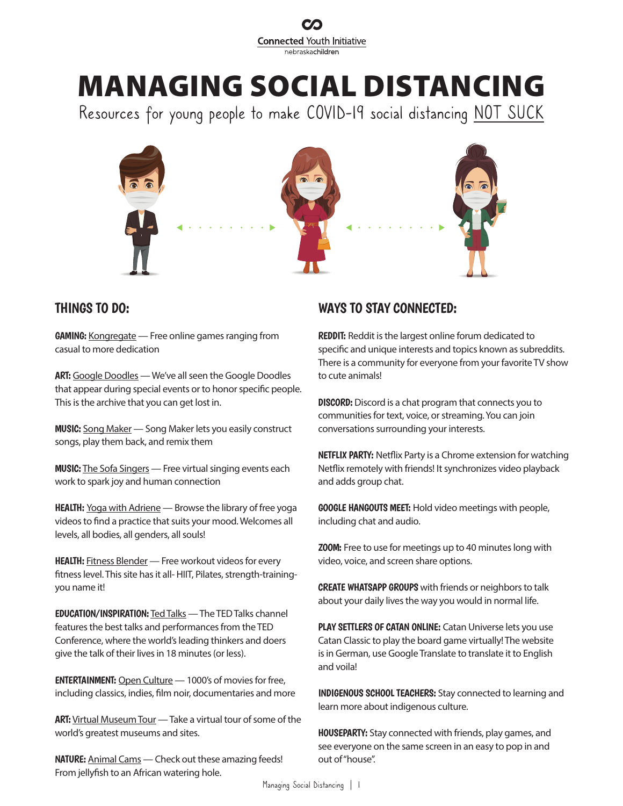

# **MANAGING SOCIAL DISTANCING**

Resources for young people to make COVID-19 social distancing NOT SUCK



## THINGS TO DO:

GAMING: [Kongregate](https://www.kongregate.com/) - Free online games ranging from casual to more dedication

ART: [Google Doodles](https://www.google.com/doodles) — We've all seen the Google Doodles that appear during special events or to honor specific people. This is the archive that you can get lost in.

MUSIC: [Song Maker](https://musiclab.chromeexperiments.com/Song-Maker/) — Song Maker lets you easily construct songs, play them back, and remix them

**MUSIC:** [The Sofa Singers](https://www.sofasisters.com/) - Free virtual singing events each work to spark joy and human connection

HEALTH: [Yoga with Adriene](https://www.youtube.com/user/yogawithadriene) - Browse the library of free yoga videos to find a practice that suits your mood. Welcomes all levels, all bodies, all genders, all souls!

**HEALTH:** [Fitness Blender](https://www.fitnessblender.com/) — Free workout videos for every fitness level. This site has it all- HIIT, Pilates, strength-trainingyou name it!

EDUCATION/INSPIRATION: [Ted Talks](https://www.youtube.com/user/TEDtalksDirector) — The TED Talks channel features the best talks and performances from the TED Conference, where the world's leading thinkers and doers give the talk of their lives in 18 minutes (or less).

ENTERTAINMENT: [Open Culture](http://www.openculture.com/freemoviesonline) — 1000's of movies for free, including classics, indies, film noir, documentaries and more

ART: [Virtual Museum Tour](https://artsandculture.google.com/project/streetviews) - Take a virtual tour of some of the world's greatest museums and sites.

NATURE: [Animal Cams](https://www.adventure-journal.com/2020/03/if-youre-stuck-inside-might-as-well-enjoy-this-list-of-animal-cams/?fbclid=IwAR3aQCDsSp35XSOjHg4vjCvG3lN5wbXGIJBeHhrL-FAJZx5w3BZMQA-WxeY) - Check out these amazing feeds! From jellyfish to an African watering hole.

# WAYS TO STAY CONNECTED:

[REDDIT:](https://www.reddit.com/) Reddit is the largest online forum dedicated to specific and unique interests and topics known as subreddits. There is a community for everyone from your favorite TV show to cute animals!

**[DISCORD:](https://discordapp.com/)** Discord is a chat program that connects you to communities for text, voice, or streaming. You can join conversations surrounding your interests.

[NETFLIX PARTY:](https://www.netflixparty.com/) Netflix Party is a Chrome extension for watching Netflix remotely with friends! It synchronizes video playback and adds group chat.

[GOOGLE HANGOUTS MEET:](https://support.google.com/a/users/answer/9282720?hl=en) Hold video meetings with people, including chat and audio.

[ZOOM:](https://zoom.us/) Free to use for meetings up to 40 minutes long with video, voice, and screen share options.

[CREATE WHATSAPP GROUPS](https://faq.whatsapp.com/en/android/26000123/?category=5245251) with friends or neighbors to talk about your daily lives the way you would in normal life.

[PLAY SETTLERS OF CATAN ONLINE:](https://www.catanuniverse.com/) Catan Universe lets you use Catan Classic to play the board game virtually! The website is in German, use Google Translate to translate it to English and voila!

[INDIGENOUS SCHOOL TEACHERS:](https://www.cbc.ca/news/indigenous/indigenous-online-school-lessons-1.5501050?__vfz=medium=sharebar&fbclid=IwAR0qVjMSkB_YMUfKBK6H25fUDZuJTKnKru10Put9fbmlnuysDnpabp4BQgo) Stay connected to learning and learn more about indigenous culture.

[HOUSEPARTY:](https://houseparty.com/) Stay connected with friends, play games, and see everyone on the same screen in an easy to pop in and out of "house".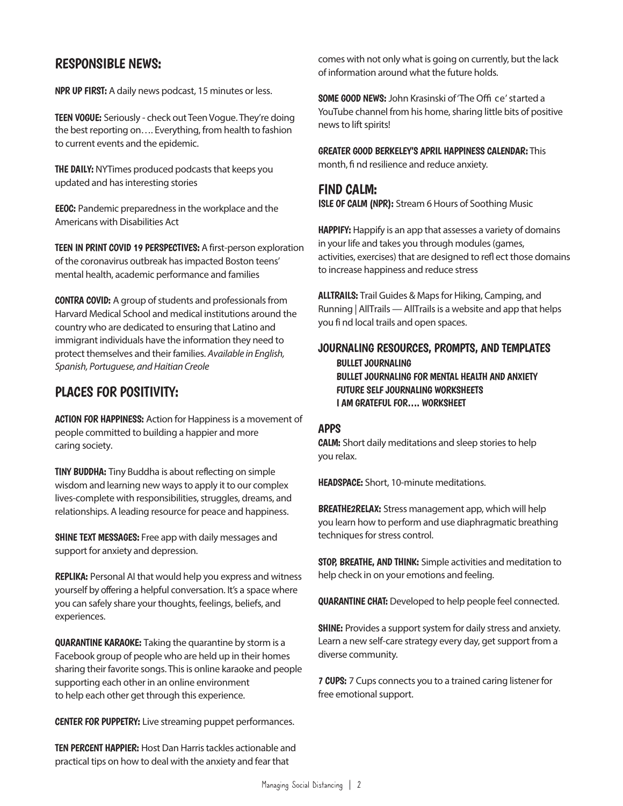# RESPONSIBLE NEWS:

[NPR UP FIRST:](https://www.npr.org/podcasts/510318/up-first) A daily news podcast, 15 minutes or less.

[TEEN VOGUE:](https://www.teenvogue.com/) Seriously - check out Teen Vogue. They're doing the best reporting on…. Everything, from health to fashion to current events and the epidemic.

**THE [DAILY:](https://www.nytimes.com/column/the-daily)** NYTimes produced podcasts that keeps you updated and has interesting stories

[EEOC:](https://www.eeoc.gov/facts/pandemic_flu.html) Pandemic preparedness in the workplace and the Americans with Disabilities Act

[TEEN IN PRINT COVID 19 PERSPECTIVES:](https://medium.com/@teensinprint/welcome-to-teens-in-prints-covid-19-perspective-series-1b4c655a72b4) A first-person exploration of the coronavirus outbreak has impacted Boston teens' mental health, academic performance and families

[CONTRA COVID:](https://en.contracovid.com/) A group of students and professionals from Harvard Medical School and medical institutions around the country who are dedicated to ensuring that Latino and immigrant individuals have the information they need to protect themselves and their families. Available in English, Spanish, Portuguese, and Haitian Creole

# PLACES FOR POSITIVITY:

[ACTION FOR HAPPINESS:](https://www.actionforhappiness.org/) Action for Happiness is a movement of people committed to building a happier and more caring society.

[TINY BUDDHA:](https://tinybuddha.com/) Tiny Buddha is about reflecting on simple wisdom and learning new ways to apply it to our complex lives-complete with responsibilities, struggles, dreams, and relationships. A leading resource for peace and happiness.

[SHINE TEXT MESSAGES:](https://join.shinetext.com/) Free app with daily messages and support for anxiety and depression.

[REPLIKA:](https://replika.ai/) Personal AI that would help you express and witness yourself by offering a helpful conversation. It's a space where you can safely share your thoughts, feelings, beliefs, and experiences.

[QUARANTINE KARAOKE:](https://www.facebook.com/groups/524184781620208/) Taking the quarantine by storm is a Facebook group of people who are held up in their homes sharing their favorite songs. This is online karaoke and people supporting each other in an online environment to help each other get through this experience.

[CENTER FOR PUPPETRY:](https://www.ajc.com/lifestyles/center-for-puppetry-arts-livestream-performances-for-free/KuBGQBiqLKxYs2l0WORhWO/?fbclid=IwAR1-ffYO55RHdJQnqjZVgNUA3Wa9g36cXfuXgmfTwcTIyn1rR2zqoZirJlw) Live streaming puppet performances.

[TEN PERCENT HAPPIER:](https://www.today.com/tmrw/coronavirus-mental-health-podcasts-5-episodes-ease-anxiety-t176235#anchor-1TenPercentHappierwithDanHarris) Host Dan Harris tackles actionable and practical tips on how to deal with the anxiety and fear that

comes with not only what is going on currently, but the lack of information around what the future holds.

[SOME GOOD NEWS:](https://www.youtube.com/channel/UCOe_y6KKvS3PdIfb9q9pGug) John Krasinski of'The Offi ce'started a YouTube channel from his home, sharing little bits of positive news to lift spirits!

[GREATER GOOD BERKELEY'S APRIL HAPPINESS CALENDAR:](https://greatergood.berkeley.edu/images/uploads/April_2020_Happiness_Calendar.pdf) This month, fi nd resilience and reduce anxiety.

## FIND CALM:

[ISLE OF CALM \(NPR\):](https://www.npr.org/2020/03/13/815457669/isle-of-calm-stream-6-hours-of-soothing-music) Stream 6 Hours of Soothing Music

[HAPPIFY:](https://my.happify.com/) Happify is an app that assesses a variety of domains in your life and takes you through modules (games, activities, exercises) that are designed to refl ect those domains to increase happiness and reduce stress

[ALLTRAILS:](https://www.alltrails.com/) Trail Guides & Maps for Hiking, Camping, and Running | AllTrails — AllTrails is a website and app that helps you fi nd local trails and open spaces.

## JOURNALING RESOURCES, PROMPTS, AND TEMPLATES

 [BULLET JOURNALING](https://bulletjournal.com/) [BULLET JOURNALING FOR MENTAL HEALTH AND ANXIETY](https://wellella.com/bullet-journal-mental-health-anxiety/) [FUTURE SELF JOURNALING WORKSHEETS](https://gallery.mailchimp.com/0a0282a87091cf3e7fd1f892b/files/bed1522c-e404-43c5-a427-9dad024b26a4/Future_Self_Journaling.01.pdf) [I AM GRATEFUL FOR…. WORKSHEET](https://files.constantcontact.com/4ec129c3201/473016ca-cfc7-464b-ab76-f4b5adf889dc.pdf)

## APPS

[CALM:](https://www.calm.com/) Short daily meditations and sleep stories to help you relax.

[HEADSPACE:](https://www.headspace.com/headspace-meditation-app) Short, 10-minute meditations.

[BREATHE2RELAX:](https://www.psyberguide.org/apps/breathe2relax/) Stress management app, which will help you learn how to perform and use diaphragmatic breathing techniques for stress control.

[STOP, BREATHE, AND THINK:](https://www.stopbreathethink.com/) Simple activities and meditation to help check in on your emotions and feeling.

[QUARANTINE CHAT:](https://quarantinechat.com/) Developed to help people feel connected.

**SHINE:** Provides a support system for daily stress and anxiety. Learn a new self-care strategy every day, get support from a diverse community.

[7 CUPS:](https://www.7cups.com/about/howitworks.php) 7 Cups connects you to a trained caring listener for free emotional support.